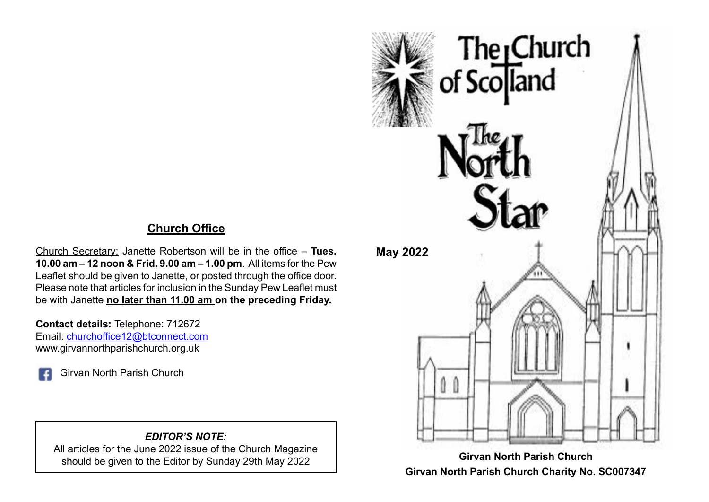## **Church Office**

Church Secretary: Janette Robertson will be in the office – **Tues. 10.00 am – 12 noon & Frid. 9.00 am – 1.00 pm**. All items for the Pew Leaflet should be given to Janette, or posted through the office door. Please note that articles for inclusion in the Sunday Pew Leaflet must be with Janette **no later than 11.00 am on the preceding Friday.**

**Contact details:** Telephone: 712672 Email: [churchoffice12@btconnect.com](mailto:churchoffice12@btconnect.com) www.girvannorthparishchurch.org.uk

Girvan North Parish Church

#### *EDITOR'S NOTE:*

All articles for the June 2022 issue of the Church Magazine should be given to the Editor by Sunday 29th May 2022



**Girvan North Parish Church Charity No. SC007347**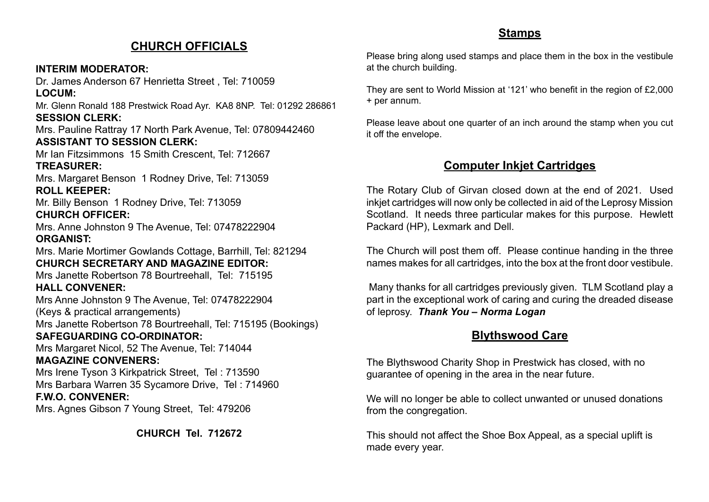#### **CHURCH OFFICIALS**

#### **INTERIM MODERATOR:**

Dr. James Anderson 67 Henrietta Street , Tel: 710059 **LOCUM:**

Mr. Glenn Ronald 188 Prestwick Road Ayr. KA8 8NP. Tel: 01292 286861 **SESSION CLERK:**

Mrs. Pauline Rattray 17 North Park Avenue, Tel: 07809442460 **ASSISTANT TO SESSION CLERK:**

Mr Ian Fitzsimmons 15 Smith Crescent, Tel: 712667 **TREASURER:**

Mrs. Margaret Benson 1 Rodney Drive, Tel: 713059 **ROLL KEEPER:**

Mr. Billy Benson 1 Rodney Drive, Tel: 713059 **CHURCH OFFICER:**

Mrs. Anne Johnston 9 The Avenue, Tel: 07478222904 **ORGANIST:**

Mrs. Marie Mortimer Gowlands Cottage, Barrhill, Tel: 821294 **CHURCH SECRETARY AND MAGAZINE EDITOR:**

Mrs Janette Robertson 78 Bourtreehall, Tel: 715195

#### **HALL CONVENER:**

Mrs Anne Johnston 9 The Avenue, Tel: 07478222904 (Keys & practical arrangements) Mrs Janette Robertson 78 Bourtreehall, Tel: 715195 (Bookings)

#### **SAFEGUARDING CO-ORDINATOR:**

Mrs Margaret Nicol, 52 The Avenue, Tel: 714044 **MAGAZINE CONVENERS:**

Mrs Irene Tyson 3 Kirkpatrick Street, Tel : 713590 Mrs Barbara Warren 35 Sycamore Drive, Tel : 714960

#### **F.W.O. CONVENER:**

Mrs. Agnes Gibson 7 Young Street, Tel: 479206

**CHURCH Tel. 712672**

### **Stamps**

Please bring along used stamps and place them in the box in the vestibule at the church building.

They are sent to World Mission at '121' who benefit in the region of £2,000 + per annum.

Please leave about one quarter of an inch around the stamp when you cut it off the envelope.

## **Computer Inkjet Cartridges**

The Rotary Club of Girvan closed down at the end of 2021. Used inkjet cartridges will now only be collected in aid of the Leprosy Mission Scotland. It needs three particular makes for this purpose. Hewlett Packard (HP), Lexmark and Dell.

The Church will post them off. Please continue handing in the three names makes for all cartridges, into the box at the front door vestibule.

 Many thanks for all cartridges previously given. TLM Scotland play a part in the exceptional work of caring and curing the dreaded disease of leprosy. *Thank You – Norma Logan*

## **Blythswood Care**

The Blythswood Charity Shop in Prestwick has closed, with no guarantee of opening in the area in the near future.

We will no longer be able to collect unwanted or unused donations from the congregation.

This should not affect the Shoe Box Appeal, as a special uplift is made every year.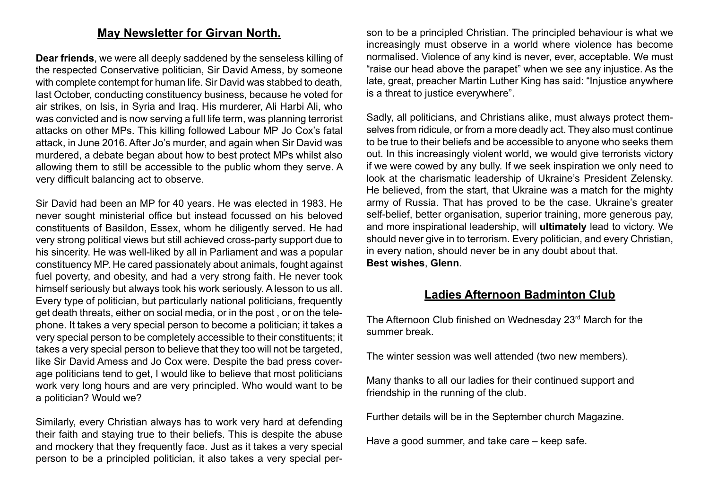#### **May Newsletter for Girvan North.**

**Dear friends**, we were all deeply saddened by the senseless killing of the respected Conservative politician, Sir David Amess, by someone with complete contempt for human life. Sir David was stabbed to death, last October, conducting constituency business, because he voted for air strikes, on Isis, in Syria and Iraq. His murderer, Ali Harbi Ali, who was convicted and is now serving a full life term, was planning terrorist attacks on other MPs. This killing followed Labour MP Jo Cox's fatal attack, in June 2016. After Jo's murder, and again when Sir David was murdered, a debate began about how to best protect MPs whilst also allowing them to still be accessible to the public whom they serve. A very difficult balancing act to observe.

Sir David had been an MP for 40 years. He was elected in 1983. He never sought ministerial office but instead focussed on his beloved constituents of Basildon, Essex, whom he diligently served. He had very strong political views but still achieved cross-party support due to his sincerity. He was well-liked by all in Parliament and was a popular constituency MP. He cared passionately about animals, fought against fuel poverty, and obesity, and had a very strong faith. He never took himself seriously but always took his work seriously. A lesson to us all. Every type of politician, but particularly national politicians, frequently get death threats, either on social media, or in the post , or on the telephone. It takes a very special person to become a politician; it takes a very special person to be completely accessible to their constituents; it takes a very special person to believe that they too will not be targeted, like Sir David Amess and Jo Cox were. Despite the bad press coverage politicians tend to get, I would like to believe that most politicians work very long hours and are very principled. Who would want to be a politician? Would we?

Similarly, every Christian always has to work very hard at defending their faith and staying true to their beliefs. This is despite the abuse and mockery that they frequently face. Just as it takes a very special person to be a principled politician, it also takes a very special person to be a principled Christian. The principled behaviour is what we increasingly must observe in a world where violence has become normalised. Violence of any kind is never, ever, acceptable. We must "raise our head above the parapet" when we see any injustice. As the late, great, preacher Martin Luther King has said: "Injustice anywhere is a threat to justice everywhere".

Sadly, all politicians, and Christians alike, must always protect themselves from ridicule, or from a more deadly act. They also must continue to be true to their beliefs and be accessible to anyone who seeks them out. In this increasingly violent world, we would give terrorists victory if we were cowed by any bully. If we seek inspiration we only need to look at the charismatic leadership of Ukraine's President Zelensky. He believed, from the start, that Ukraine was a match for the mighty army of Russia. That has proved to be the case. Ukraine's greater self-belief, better organisation, superior training, more generous pay, and more inspirational leadership, will **ultimately** lead to victory. We should never give in to terrorism. Every politician, and every Christian, in every nation, should never be in any doubt about that. **Best wishes**, **Glenn**.

#### **Ladies Afternoon Badminton Club**

The Afternoon Club finished on Wednesday 23<sup>rd</sup> March for the summer break.

The winter session was well attended (two new members).

Many thanks to all our ladies for their continued support and friendship in the running of the club.

Further details will be in the September church Magazine.

Have a good summer, and take care – keep safe.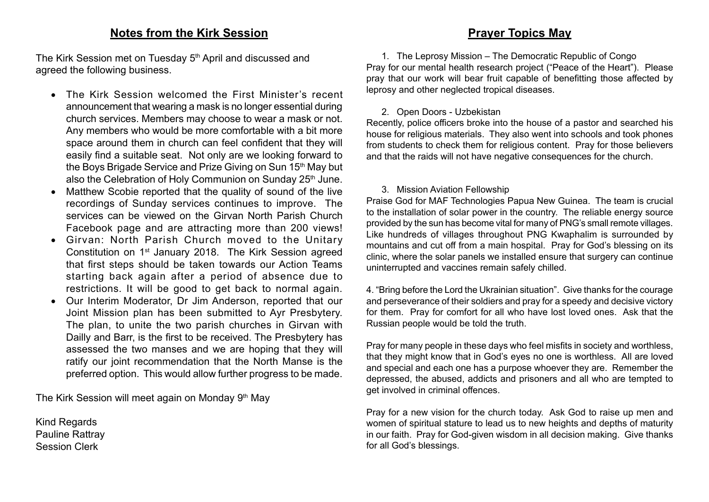#### **Notes from the Kirk Session**

The Kirk Session met on Tuesday 5<sup>th</sup> April and discussed and agreed the following business.

- • The Kirk Session welcomed the First Minister's recent announcement that wearing a mask is no longer essential during church services. Members may choose to wear a mask or not. Any members who would be more comfortable with a bit more space around them in church can feel confident that they will easily find a suitable seat. Not only are we looking forward to the Boys Brigade Service and Prize Giving on Sun 15<sup>th</sup> May but also the Celebration of Holy Communion on Sunday 25<sup>th</sup> June.
- Matthew Scobie reported that the quality of sound of the live recordings of Sunday services continues to improve. The services can be viewed on the Girvan North Parish Church Facebook page and are attracting more than 200 views!
- • Girvan: North Parish Church moved to the Unitary Constitution on 1st January 2018. The Kirk Session agreed that first steps should be taken towards our Action Teams starting back again after a period of absence due to restrictions. It will be good to get back to normal again.
- Our Interim Moderator, Dr Jim Anderson, reported that our Joint Mission plan has been submitted to Ayr Presbytery. The plan, to unite the two parish churches in Girvan with Dailly and Barr, is the first to be received. The Presbytery has assessed the two manses and we are hoping that they will ratify our joint recommendation that the North Manse is the preferred option. This would allow further progress to be made.

The Kirk Session will meet again on Monday 9<sup>th</sup> May

Kind Regards Pauline Rattray Session Clerk

#### **Prayer Topics May**

1. The Leprosy Mission – The Democratic Republic of Congo Pray for our mental health research project ("Peace of the Heart"). Please pray that our work will bear fruit capable of benefitting those affected by leprosy and other neglected tropical diseases.

#### 2. Open Doors - Uzbekistan

Recently, police officers broke into the house of a pastor and searched his house for religious materials. They also went into schools and took phones from students to check them for religious content. Pray for those believers and that the raids will not have negative consequences for the church.

#### 3. Mission Aviation Fellowship

Praise God for MAF Technologies Papua New Guinea. The team is crucial to the installation of solar power in the country. The reliable energy source provided by the sun has become vital for many of PNG's small remote villages. Like hundreds of villages throughout PNG Kwaphalim is surrounded by mountains and cut off from a main hospital. Pray for God's blessing on its clinic, where the solar panels we installed ensure that surgery can continue uninterrupted and vaccines remain safely chilled.

4. "Bring before the Lord the Ukrainian situation". Give thanks for the courage and perseverance of their soldiers and pray for a speedy and decisive victory for them. Pray for comfort for all who have lost loved ones. Ask that the Russian people would be told the truth.

Pray for many people in these days who feel misfits in society and worthless, that they might know that in God's eyes no one is worthless. All are loved and special and each one has a purpose whoever they are. Remember the depressed, the abused, addicts and prisoners and all who are tempted to get involved in criminal offences.

Pray for a new vision for the church today. Ask God to raise up men and women of spiritual stature to lead us to new heights and depths of maturity in our faith. Pray for God-given wisdom in all decision making. Give thanks for all God's blessings.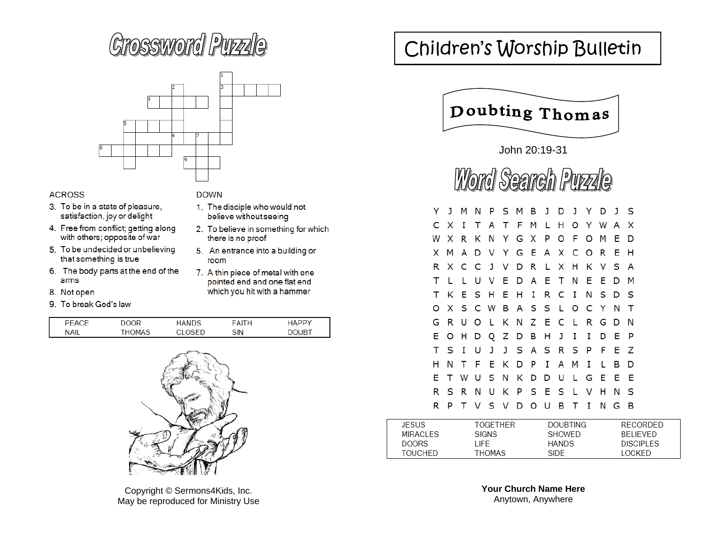# **Crossword Pupzle**



#### **ACROSS**

- 3. To be in a state of pleasure, satisfaction, joy or delight
- 4. Free from conflict; getting along with others; opposite of war
- 5. To be undecided or unbelieving that something is true
- 6. The body parts at the end of the arms
- 8. Not open
- 9. To break God's law

#### **DOWN**

- 1. The disciple who would not believe without seeing
- 2. To believe in something for which there is no proof
- 5. An entrance into a building or room
- 7. A thin piece of metal with one pointed end and one flat end which you hit with a hammer

| D⊏          |              |     | Ъ   | ндрр. |
|-------------|--------------|-----|-----|-------|
| <b>NAIL</b> | <b>HOMAS</b> | ٦ΞΓ | SIN | ־11R  |



Copyright © Sermons4Kids, Inc. May be reproduced for Ministry Use

## Children's Worship Bulletin



John 20:19-31

Word Search Puzzle

|    |     | JMN    |   | PSMBJDJYDJS                   |  |  |       |              |   |      |     |  |
|----|-----|--------|---|-------------------------------|--|--|-------|--------------|---|------|-----|--|
|    | CX. |        |   | I T A T F M L H O Y W A X     |  |  |       |              |   |      |     |  |
|    |     |        |   | W X R K N Y G X P O F O M E D |  |  |       |              |   |      |     |  |
|    |     |        |   | X M A D V Y G E A X C O R E H |  |  |       |              |   |      |     |  |
|    |     |        |   | R X C C J V D R L X H K V S A |  |  |       |              |   |      |     |  |
| т  |     |        |   | L L U V E D A E T N E E D M   |  |  |       |              |   |      |     |  |
| т  |     |        |   | K E S H E H I R C I N S D S   |  |  |       |              |   |      |     |  |
| Ω  |     |        |   | X S C W B A S S L O C Y N     |  |  |       |              |   |      | ா   |  |
| G  |     |        |   | R U O L K N Z E C L R G D N   |  |  |       |              |   |      |     |  |
| Е  |     |        |   | O H D Q Z D B H J I           |  |  |       | $\mathbf{I}$ | D | -E   | - P |  |
| т  | S I |        | U | J J S A S R S P F E Z         |  |  |       |              |   |      |     |  |
| н  | N   | $\top$ |   | FEKDPI                        |  |  | A M I |              | L | в    | D   |  |
| E. |     |        |   | T W U S N K D D U L G E E     |  |  |       |              |   |      | - E |  |
| R  |     |        |   | S R N U K P S E S L V H       |  |  |       |              |   | N    | - S |  |
| R  | P   |        |   | T V S V D O U B T I           |  |  |       |              |   | NG B |     |  |

| <b>JESUS</b>   | <b>TOGETHER</b> | <b>DOUBTING</b> | <b>RECORDED</b>  |
|----------------|-----------------|-----------------|------------------|
| MIRACI FS      | <b>SIGNS</b>    | <b>SHOWED</b>   | <b>BELIEVED</b>  |
| DOORS          | I IFF.          | <b>HANDS</b>    | <b>DISCIPLES</b> |
| <b>TOUCHED</b> | <b>THOMAS</b>   | <b>SIDE</b>     | <b>LOCKED</b>    |

**Your Church Name Here**  Anytown, Anywhere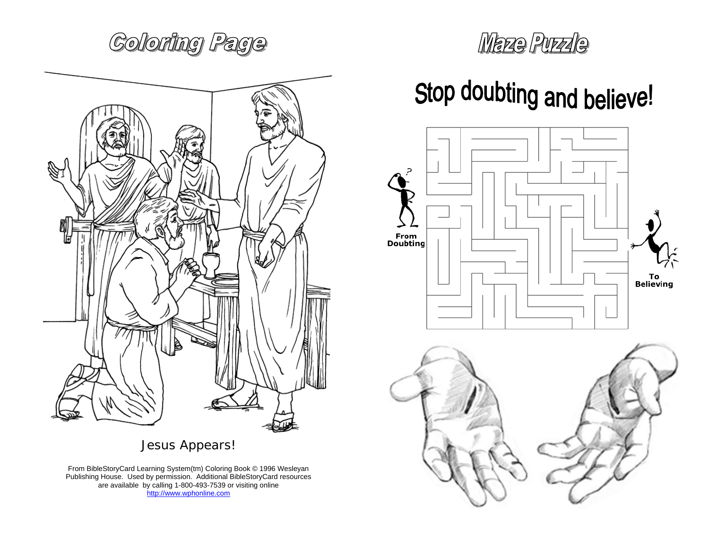**Coloring Page** 



Jesus Appears!

From BibleStoryCard Learning System(tm) Coloring Book © 1996 Wesleyan Publishing House. Used by permission. Additional BibleStoryCard resources are available by calling 1-800-493-7539 or visiting online http://www.wphonline.com

# Maze Purzle

# Stop doubting and believe!